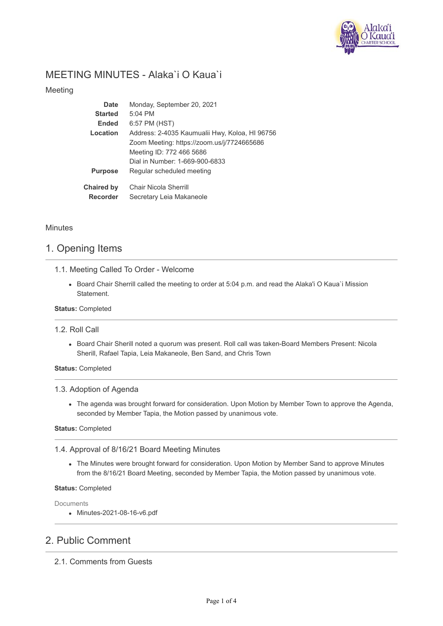

# MEETING MINUTES - Alaka`i O Kaua`i

## Meeting

| Date              | Monday, September 20, 2021                     |
|-------------------|------------------------------------------------|
| <b>Started</b>    | $5:04$ PM                                      |
| <b>Ended</b>      | 6:57 PM (HST)                                  |
| Location          | Address: 2-4035 Kaumualii Hwy, Koloa, HI 96756 |
|                   | Zoom Meeting: https://zoom.us/j/7724665686     |
|                   | Meeting ID: 772 466 5686                       |
|                   | Dial in Number: 1-669-900-6833                 |
| <b>Purpose</b>    | Regular scheduled meeting                      |
| <b>Chaired by</b> | <b>Chair Nicola Sherrill</b>                   |
| <b>Recorder</b>   | Secretary Leia Makaneole                       |

## **Minutes**

## 1. Opening Items

## 1.1. Meeting Called To Order - Welcome

Board Chair Sherrill called the meeting to order at 5:04 p.m. and read the Alaka'i O Kaua`i Mission Statement.

### **Status:** Completed

### 1.2. Roll Call

Board Chair Sherill noted a quorum was present. Roll call was taken-Board Members Present: Nicola Sherill, Rafael Tapia, Leia Makaneole, Ben Sand, and Chris Town

### **Status:** Completed

### 1.3. Adoption of Agenda

The agenda was brought forward for consideration. Upon Motion by Member Town to approve the Agenda, seconded by Member Tapia, the Motion passed by unanimous vote.

### **Status:** Completed

## 1.4. Approval of 8/16/21 Board Meeting Minutes

The Minutes were brought forward for consideration. Upon Motion by Member Sand to approve Minutes from the 8/16/21 Board Meeting, seconded by Member Tapia, the Motion passed by unanimous vote.

### **Status:** Completed

Documents

Minutes-2021-08-16-v6.pdf

# 2. Public Comment

2.1. Comments from Guests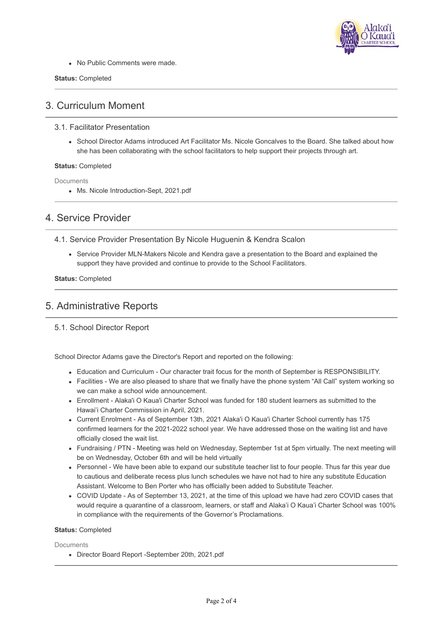

• No Public Comments were made.

#### **Status:** Completed

# 3. Curriculum Moment

- 3.1. Facilitator Presentation
	- School Director Adams introduced Art Facilitator Ms. Nicole Goncalves to the Board. She talked about how she has been collaborating with the school facilitators to help support their projects through art.

### **Status:** Completed

**Documents** 

Ms. Nicole Introduction-Sept, 2021.pdf

## 4. Service Provider

- 4.1. Service Provider Presentation By Nicole Huguenin & Kendra Scalon
	- Service Provider MLN-Makers Nicole and Kendra gave a presentation to the Board and explained the support they have provided and continue to provide to the School Facilitators.

**Status:** Completed

## 5. Administrative Reports

## 5.1. School Director Report

School Director Adams gave the Director's Report and reported on the following:

- Education and Curriculum Our character trait focus for the month of September is RESPONSIBILITY.
- Facilities We are also pleased to share that we finally have the phone system "All Call" system working so we can make a school wide announcement.
- Enrollment Alaka'i O Kaua'i Charter School was funded for 180 student learners as submitted to the Hawai'i Charter Commission in April, 2021.
- Current Enrolment As of September 13th, 2021 Alaka'i O Kaua'i Charter School currently has 175 confirmed learners for the 2021-2022 school year. We have addressed those on the waiting list and have officially closed the wait list.
- Fundraising / PTN Meeting was held on Wednesday, September 1st at 5pm virtually. The next meeting will be on Wednesday, October 6th and will be held virtually
- Personnel We have been able to expand our substitute teacher list to four people. Thus far this year due to cautious and deliberate recess plus lunch schedules we have not had to hire any substitute Education Assistant. Welcome to Ben Porter who has officially been added to Substitute Teacher.
- COVID Update As of September 13, 2021, at the time of this upload we have had zero COVID cases that would require a quarantine of a classroom, learners, or staff and Alaka'i O Kaua'i Charter School was 100% in compliance with the requirements of the Governor's Proclamations.

### **Status:** Completed

**Documents** 

Director Board Report -September 20th, 2021.pdf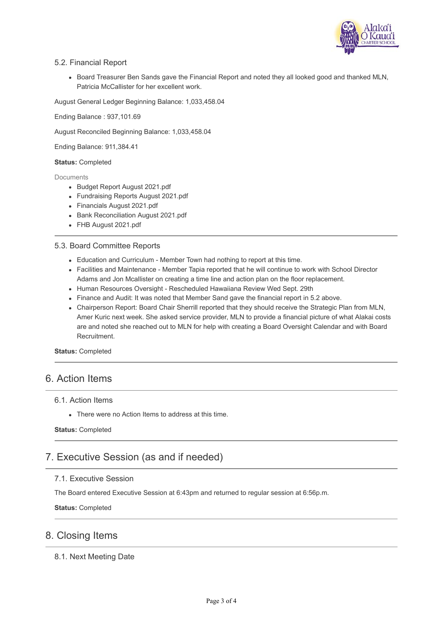

## 5.2. Financial Report

• Board Treasurer Ben Sands gave the Financial Report and noted they all looked good and thanked MLN, Patricia McCallister for her excellent work.

August General Ledger Beginning Balance: 1,033,458.04

Ending Balance : 937,101.69

August Reconciled Beginning Balance: 1,033,458.04

Ending Balance: 911,384.41

### **Status:** Completed

#### **Documents**

- Budget Report August 2021.pdf
- Fundraising Reports August 2021.pdf
- Financials August 2021.pdf
- Bank Reconciliation August 2021.pdf
- FHB August 2021.pdf

### 5.3. Board Committee Reports

- Education and Curriculum Member Town had nothing to report at this time.
- Facilities and Maintenance Member Tapia reported that he will continue to work with School Director Adams and Jon Mcallister on creating a time line and action plan on the floor replacement.
- Human Resources Oversight Rescheduled Hawaiiana Review Wed Sept. 29th
- Finance and Audit: It was noted that Member Sand gave the financial report in 5.2 above.
- Chairperson Report: Board Chair Sherrill reported that they should receive the Strategic Plan from MLN, Amer Kuric next week. She asked service provider, MLN to provide a financial picture of what Alakai costs are and noted she reached out to MLN for help with creating a Board Oversight Calendar and with Board Recruitment.

**Status:** Completed

## 6. Action Items

## 6.1. Action Items

There were no Action Items to address at this time.

### **Status:** Completed

# 7. Executive Session (as and if needed)

## 7.1. Executive Session

The Board entered Executive Session at 6:43pm and returned to regular session at 6:56p.m.

**Status:** Completed

## 8. Closing Items

## 8.1. Next Meeting Date